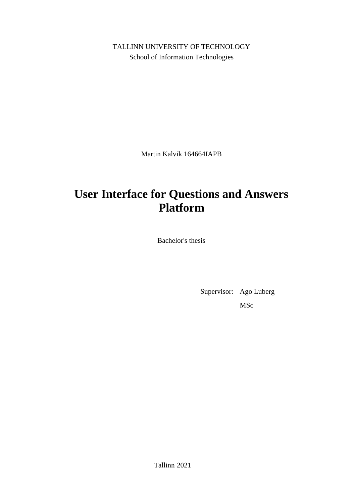TALLINN UNIVERSITY OF TECHNOLOGY School of Information Technologies

Martin Kalvik 164664IAPB

# **User Interface for Questions and Answers Platform**

Bachelor's thesis

Supervisor: Ago Luberg MSc

Tallinn 2021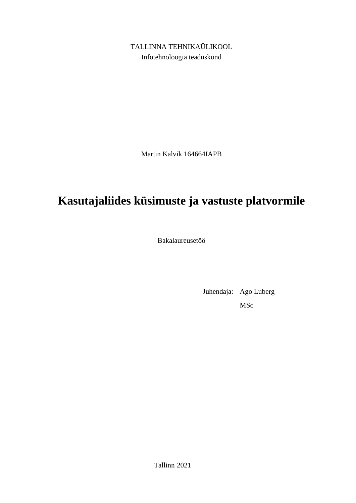TALLINNA TEHNIKAÜLIKOOL Infotehnoloogia teaduskond

Martin Kalvik 164664IAPB

# **Kasutajaliides küsimuste ja vastuste platvormile**

Bakalaureusetöö

Juhendaja: Ago Luberg MSc

Tallinn 2021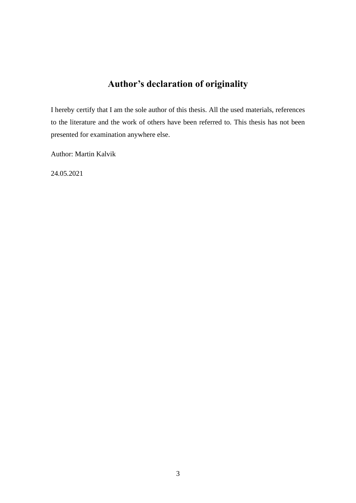## **Author's declaration of originality**

<span id="page-2-0"></span>I hereby certify that I am the sole author of this thesis. All the used materials, references to the literature and the work of others have been referred to. This thesis has not been presented for examination anywhere else.

Author: Martin Kalvik

24.05.2021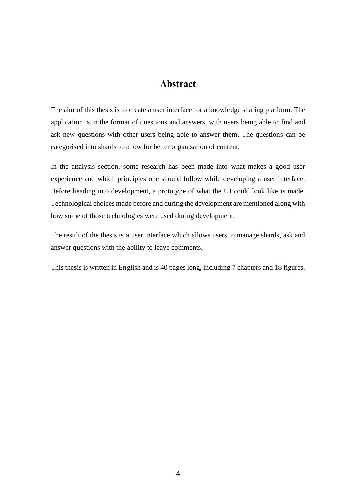### **Abstract**

<span id="page-3-0"></span>The aim of this thesis is to create a user interface for a knowledge sharing platform. The application is in the format of questions and answers, with users being able to find and ask new questions with other users being able to answer them. The questions can be categorised into shards to allow for better organisation of content.

In the analysis section, some research has been made into what makes a good user experience and which principles one should follow while developing a user interface. Before heading into development, a prototype of what the UI could look like is made. Technological choices made before and during the development are mentioned along with how some of those technologies were used during development.

The result of the thesis is a user interface which allows users to manage shards, ask and answer questions with the ability to leave comments.

This thesis is written in English and is 40 pages long, including 7 chapters and 18 figures.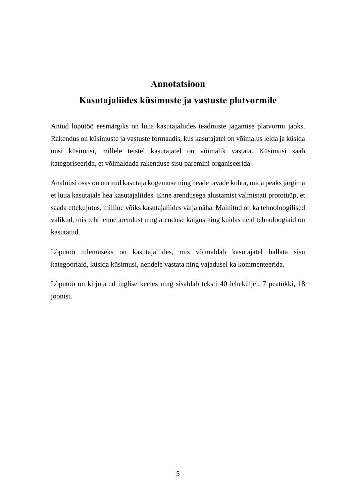### **Annotatsioon**

### <span id="page-4-0"></span>**Kasutajaliides küsimuste ja vastuste platvormile**

Antud lõputöö eesmärgiks on luua kasutajaliides teadmiste jagamise platvormi jaoks. Rakendus on küsimuste ja vastuste formaadis, kus kasutajatel on võimalus leida ja küsida uusi küsimusi, millele teistel kasutajatel on võimalik vastata. Küsimusi saab kategoriseerida, et võimaldada rakenduse sisu paremini organiseerida.

Analüüsi osas on uuritud kasutaja kogemuse ning heade tavade kohta, mida peaks järgima et luua kasutajale hea kasutajaliides. Enne arendusega alustamist valmistati prototüüp, et saada ettekujutus, milline võiks kasutajaliides välja näha. Mainitud on ka tehnoloogilised valikud, mis tehti enne arendust ning arenduse käigus ning kuidas neid tehnoloogiaid on kasutatud.

Lõputöö tulemuseks on kasutajaliides, mis võimaldab kasutajatel hallata sisu kategooriaid, küsida küsimusi, nendele vastata ning vajadusel ka kommenteerida.

Lõputöö on kirjutatud inglise keeles ning sisaldab teksti 40 leheküljel, 7 peatükki, 18 joonist.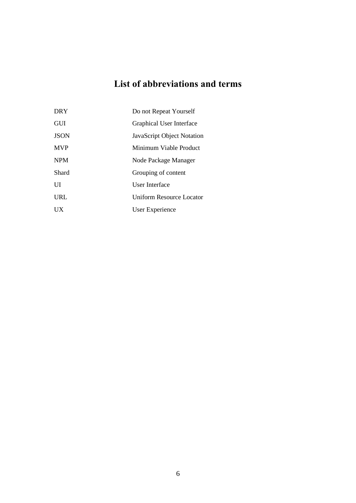## **List of abbreviations and terms**

<span id="page-5-0"></span>

| <b>DRY</b>  | Do not Repeat Yourself     |
|-------------|----------------------------|
| <b>GUI</b>  | Graphical User Interface   |
| <b>JSON</b> | JavaScript Object Notation |
| <b>MVP</b>  | Minimum Viable Product     |
| <b>NPM</b>  | Node Package Manager       |
| Shard       | Grouping of content        |
| UI          | User Interface             |
| URL         | Uniform Resource Locator   |
| UX          | User Experience            |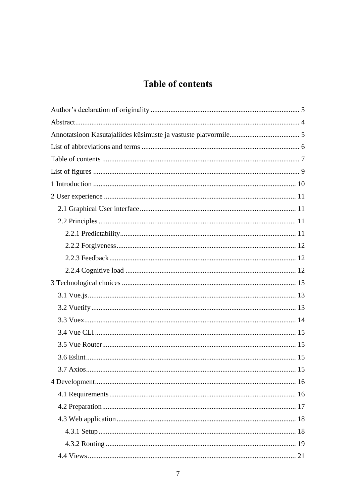## **Table of contents**

<span id="page-6-0"></span>

| 21 |
|----|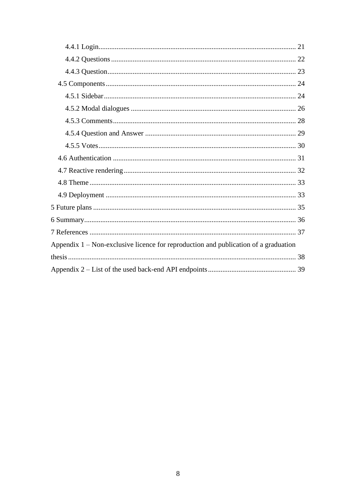| Appendix $1$ – Non-exclusive licence for reproduction and publication of a graduation |
|---------------------------------------------------------------------------------------|
|                                                                                       |
|                                                                                       |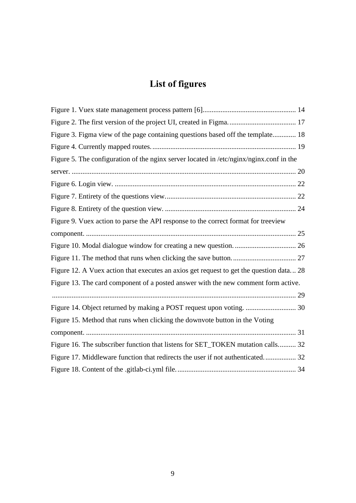# **List of figures**

<span id="page-8-0"></span>

| Figure 3. Figma view of the page containing questions based off the template 18         |  |
|-----------------------------------------------------------------------------------------|--|
|                                                                                         |  |
| Figure 5. The configuration of the nginx server located in /etc/nginx/nginx.conf in the |  |
|                                                                                         |  |
|                                                                                         |  |
|                                                                                         |  |
|                                                                                         |  |
| Figure 9. Vuex action to parse the API response to the correct format for treeview      |  |
|                                                                                         |  |
|                                                                                         |  |
|                                                                                         |  |
| Figure 12. A Vuex action that executes an axios get request to get the question data 28 |  |
| Figure 13. The card component of a posted answer with the new comment form active.      |  |
|                                                                                         |  |
| Figure 14. Object returned by making a POST request upon voting.  30                    |  |
| Figure 15. Method that runs when clicking the downvote button in the Voting             |  |
|                                                                                         |  |
| Figure 16. The subscriber function that listens for SET_TOKEN mutation calls 32         |  |
| Figure 17. Middleware function that redirects the user if not authenticated 32          |  |
|                                                                                         |  |
|                                                                                         |  |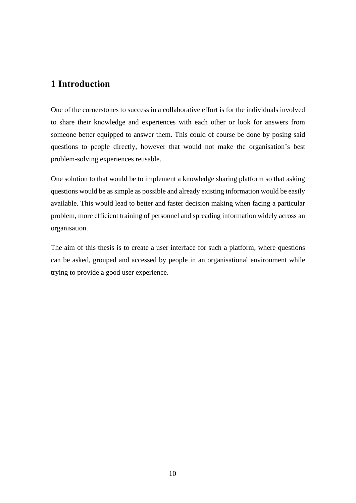### <span id="page-9-0"></span>**1 Introduction**

One of the cornerstones to success in a collaborative effort is for the individuals involved to share their knowledge and experiences with each other or look for answers from someone better equipped to answer them. This could of course be done by posing said questions to people directly, however that would not make the organisation's best problem-solving experiences reusable.

One solution to that would be to implement a knowledge sharing platform so that asking questions would be as simple as possible and already existing information would be easily available. This would lead to better and faster decision making when facing a particular problem, more efficient training of personnel and spreading information widely across an organisation.

The aim of this thesis is to create a user interface for such a platform, where questions can be asked, grouped and accessed by people in an organisational environment while trying to provide a good user experience.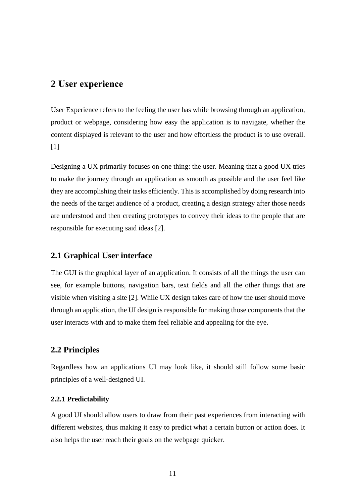### <span id="page-10-0"></span>**2 User experience**

User Experience refers to the feeling the user has while browsing through an application, product or webpage, considering how easy the application is to navigate, whether the content displayed is relevant to the user and how effortless the product is to use overall. [1]

Designing a UX primarily focuses on one thing: the user. Meaning that a good UX tries to make the journey through an application as smooth as possible and the user feel like they are accomplishing their tasks efficiently. This is accomplished by doing research into the needs of the target audience of a product, creating a design strategy after those needs are understood and then creating prototypes to convey their ideas to the people that are responsible for executing said ideas [2].

### <span id="page-10-1"></span>**2.1 Graphical User interface**

The GUI is the graphical layer of an application. It consists of all the things the user can see, for example buttons, navigation bars, text fields and all the other things that are visible when visiting a site [2]. While UX design takes care of how the user should move through an application, the UI design is responsible for making those components that the user interacts with and to make them feel reliable and appealing for the eye.

### <span id="page-10-2"></span>**2.2 Principles**

Regardless how an applications UI may look like, it should still follow some basic principles of a well-designed UI.

#### <span id="page-10-3"></span>**2.2.1 Predictability**

A good UI should allow users to draw from their past experiences from interacting with different websites, thus making it easy to predict what a certain button or action does. It also helps the user reach their goals on the webpage quicker.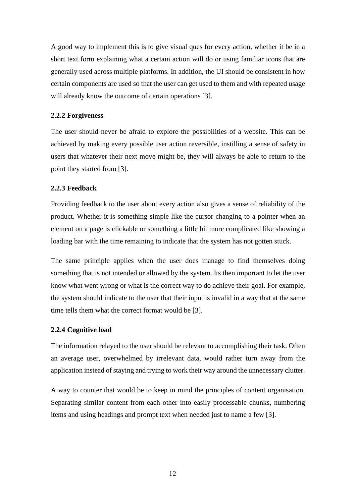A good way to implement this is to give visual ques for every action, whether it be in a short text form explaining what a certain action will do or using familiar icons that are generally used across multiple platforms. In addition, the UI should be consistent in how certain components are used so that the user can get used to them and with repeated usage will already know the outcome of certain operations [3].

#### <span id="page-11-0"></span>**2.2.2 Forgiveness**

The user should never be afraid to explore the possibilities of a website. This can be achieved by making every possible user action reversible, instilling a sense of safety in users that whatever their next move might be, they will always be able to return to the point they started from [3].

#### <span id="page-11-1"></span>**2.2.3 Feedback**

Providing feedback to the user about every action also gives a sense of reliability of the product. Whether it is something simple like the cursor changing to a pointer when an element on a page is clickable or something a little bit more complicated like showing a loading bar with the time remaining to indicate that the system has not gotten stuck.

The same principle applies when the user does manage to find themselves doing something that is not intended or allowed by the system. Its then important to let the user know what went wrong or what is the correct way to do achieve their goal. For example, the system should indicate to the user that their input is invalid in a way that at the same time tells them what the correct format would be [3].

#### <span id="page-11-2"></span>**2.2.4 Cognitive load**

The information relayed to the user should be relevant to accomplishing their task. Often an average user, overwhelmed by irrelevant data, would rather turn away from the application instead of staying and trying to work their way around the unnecessary clutter.

A way to counter that would be to keep in mind the principles of content organisation. Separating similar content from each other into easily processable chunks, numbering items and using headings and prompt text when needed just to name a few [3].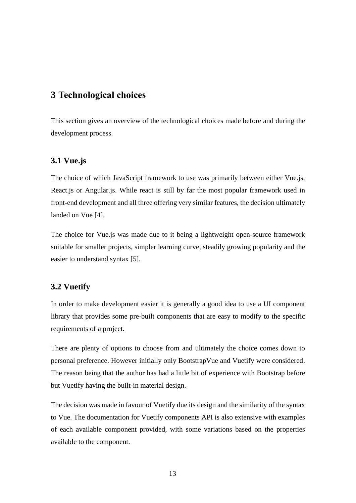### <span id="page-12-0"></span>**3 Technological choices**

This section gives an overview of the technological choices made before and during the development process.

### <span id="page-12-1"></span>**3.1 Vue.js**

The choice of which JavaScript framework to use was primarily between either Vue.js, React.js or Angular.js. While react is still by far the most popular framework used in front-end development and all three offering very similar features, the decision ultimately landed on Vue [4].

The choice for Vue.js was made due to it being a lightweight open-source framework suitable for smaller projects, simpler learning curve, steadily growing popularity and the easier to understand syntax [5].

### <span id="page-12-2"></span>**3.2 Vuetify**

In order to make development easier it is generally a good idea to use a UI component library that provides some pre-built components that are easy to modify to the specific requirements of a project.

There are plenty of options to choose from and ultimately the choice comes down to personal preference. However initially only BootstrapVue and Vuetify were considered. The reason being that the author has had a little bit of experience with Bootstrap before but Vuetify having the built-in material design.

The decision was made in favour of Vuetify due its design and the similarity of the syntax to Vue. The documentation for Vuetify components API is also extensive with examples of each available component provided, with some variations based on the properties available to the component.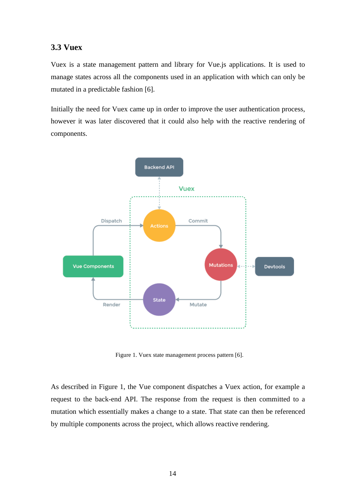### <span id="page-13-0"></span>**3.3 Vuex**

Vuex is a state management pattern and library for Vue.js applications. It is used to manage states across all the components used in an application with which can only be mutated in a predictable fashion [6].

Initially the need for Vuex came up in order to improve the user authentication process, however it was later discovered that it could also help with the reactive rendering of components.



Figure 1. Vuex state management process pattern [6].

<span id="page-13-1"></span>As described in Figure 1, the Vue component dispatches a Vuex action, for example a request to the back-end API. The response from the request is then committed to a mutation which essentially makes a change to a state. That state can then be referenced by multiple components across the project, which allows reactive rendering.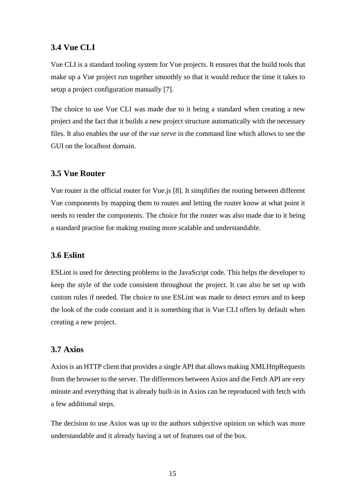### <span id="page-14-0"></span>**3.4 Vue CLI**

Vue CLI is a standard tooling system for Vue projects. It ensures that the build tools that make up a Vue project run together smoothly so that it would reduce the time it takes to setup a project configuration manually [7].

The choice to use Vue CLI was made due to it being a standard when creating a new project and the fact that it builds a new project structure automatically with the necessary files. It also enables the use of the *vue serve* in the command line which allows to see the GUI on the localhost domain.

### <span id="page-14-1"></span>**3.5 Vue Router**

Vue router is the official router for Vue.js [8]. It simplifies the routing between different Vue components by mapping them to routes and letting the router know at what point it needs to render the components. The choice for the router was also made due to it being a standard practise for making routing more scalable and understandable.

### <span id="page-14-2"></span>**3.6 Eslint**

ESLint is used for detecting problems in the JavaScript code. This helps the developer to keep the style of the code consistent throughout the project. It can also be set up with custom rules if needed. The choice to use ESLint was made to detect errors and to keep the look of the code constant and it is something that is Vue CLI offers by default when creating a new project.

### <span id="page-14-3"></span>**3.7 Axios**

Axios is an HTTP client that provides a single API that allows making XMLHttpRequests from the browser to the server. The differences between Axios and the Fetch API are very minute and everything that is already built-in in Axios can be reproduced with fetch with a few additional steps.

The decision to use Axios was up to the authors subjective opinion on which was more understandable and it already having a set of features out of the box.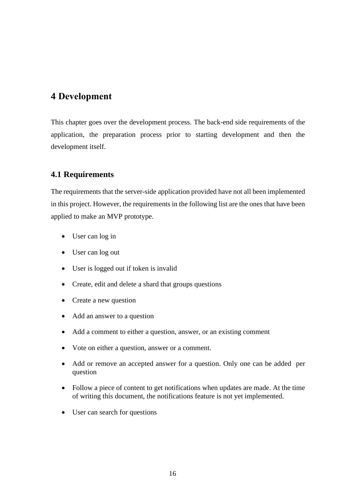### <span id="page-15-0"></span>**4 Development**

This chapter goes over the development process. The back-end side requirements of the application, the preparation process prior to starting development and then the development itself.

### <span id="page-15-1"></span>**4.1 Requirements**

The requirements that the server-side application provided have not all been implemented in this project. However, the requirements in the following list are the ones that have been applied to make an MVP prototype.

- User can log in
- User can log out
- User is logged out if token is invalid
- Create, edit and delete a shard that groups questions
- Create a new question
- Add an answer to a question
- Add a comment to either a question, answer, or an existing comment
- Vote on either a question, answer or a comment.
- Add or remove an accepted answer for a question. Only one can be added per question
- Follow a piece of content to get notifications when updates are made. At the time of writing this document, the notifications feature is not yet implemented.
- User can search for questions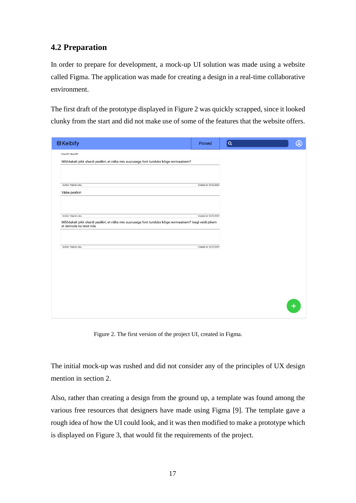### <span id="page-16-0"></span>**4.2 Preparation**

In order to prepare for development, a mock-up UI solution was made using a website called Figma. The application was made for creating a design in a real-time collaborative environment.

The first draft of the prototype displayed in Figure 2 was quickly scrapped, since it looked clunky from the start and did not make use of some of the features that the website offers.

| <b>B</b> Keibify                                                                                       | Pinned                 | $\alpha$ | ඹ |
|--------------------------------------------------------------------------------------------------------|------------------------|----------|---|
| /shard#1/shard#2                                                                                       |                        |          |   |
| Mõõdukalt pikk shardi pealkiri, et näha mis suurusega font tunduks kõige normaalsem?                   |                        |          |   |
|                                                                                                        |                        |          |   |
|                                                                                                        |                        |          |   |
| Author: Viljandi Juku                                                                                  | Created at: 04.03.2021 |          |   |
| Väike pealkiri                                                                                         |                        |          |   |
|                                                                                                        |                        |          |   |
|                                                                                                        |                        |          |   |
| Author: Viljandi Juku                                                                                  | Created at: 04.03.2021 |          |   |
| Mõõdukalt pikk shardi pealkiri, et näha mis suurusega font tunduks kõige normaalsem? Isegi veidi pikem |                        |          |   |
| et demoda ka teist rida                                                                                |                        |          |   |
|                                                                                                        |                        |          |   |
|                                                                                                        |                        |          |   |
| Author: Viljandi Juku                                                                                  | Created at: 04.03.2021 |          |   |
|                                                                                                        |                        |          |   |
|                                                                                                        |                        |          |   |
|                                                                                                        |                        |          |   |
|                                                                                                        |                        |          |   |
|                                                                                                        |                        |          |   |
|                                                                                                        |                        |          |   |
|                                                                                                        |                        |          |   |
|                                                                                                        |                        |          |   |
|                                                                                                        |                        |          |   |
|                                                                                                        |                        |          |   |

Figure 2. The first version of the project UI, created in Figma.

<span id="page-16-1"></span>The initial mock-up was rushed and did not consider any of the principles of UX design mention in section 2.

Also, rather than creating a design from the ground up, a template was found among the various free resources that designers have made using Figma [9]. The template gave a rough idea of how the UI could look, and it was then modified to make a prototype which is displayed on Figure 3, that would fit the requirements of the project.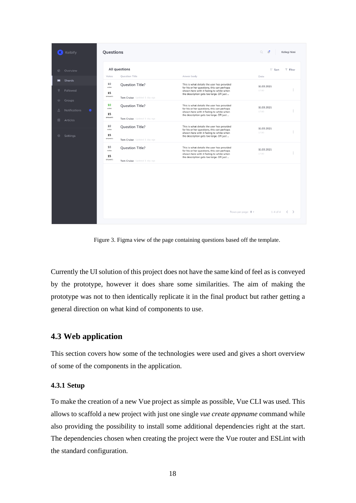| Keibify                                          | Questions                                                                              |                                                                                                                                                                                | $\circ$<br>Ľ           | Kellegi Nimi            |
|--------------------------------------------------|----------------------------------------------------------------------------------------|--------------------------------------------------------------------------------------------------------------------------------------------------------------------------------|------------------------|-------------------------|
| Overview<br>$\oplus$<br>Shards<br>$\blacksquare$ | All questions<br><b>Question Title</b><br>Votes                                        | Anwer body                                                                                                                                                                     | <b>IF</b> Sort<br>Date | $T$ Filter              |
| Followed<br>424<br>Groups                        | 10<br><b>Question Title?</b><br>votes<br>15<br>answers<br>Tom Cruise Updated 1 day ago | This is what details the user has provided<br>for his or her questions, this can perhaps<br>shown here with it fading to white when<br>the description gets too large. OR just | 11.03.2021<br>17:00    | š                       |
| Notifications<br>$\bullet$<br>凬<br>Articles      | 10<br><b>Question Title?</b><br>votes<br>15<br>answers<br>Tom Cruise Updated 1 day ago | This is what details the user has provided<br>for his or her questions, this can perhaps<br>shown here with it fading to white when<br>the description gets too large. OR just | 11.03.2021<br>17:00    |                         |
| Settings<br>森                                    | 10<br><b>Question Title?</b><br>votes<br>15<br>answers<br>Tom Cruise Updated 1 day ago | This is what details the user has provided<br>for his or her questions, this can perhaps<br>shown here with it fading to white when<br>the description gets too large. OR just | 11.03.2021<br>17:00    | ÷                       |
|                                                  | 10<br><b>Question Title?</b><br>votes<br>15<br>answers<br>Tom Cruise Updated 1 day ago | This is what details the user has provided<br>for his or her questions, this can perhaps<br>shown here with it fading to white when<br>the description gets too large. OR just | 11.03.2021<br>17:00    | š                       |
|                                                  |                                                                                        |                                                                                                                                                                                |                        |                         |
|                                                  |                                                                                        |                                                                                                                                                                                |                        |                         |
|                                                  |                                                                                        | Rows per page: $8 -$                                                                                                                                                           | $1-4$ of $4$           | $\langle \quad \rangle$ |

Figure 3. Figma view of the page containing questions based off the template.

<span id="page-17-2"></span>Currently the UI solution of this project does not have the same kind of feel as is conveyed by the prototype, however it does share some similarities. The aim of making the prototype was not to then identically replicate it in the final product but rather getting a general direction on what kind of components to use.

### <span id="page-17-0"></span>**4.3 Web application**

This section covers how some of the technologies were used and gives a short overview of some of the components in the application.

#### <span id="page-17-1"></span>**4.3.1 Setup**

To make the creation of a new Vue project as simple as possible, Vue CLI was used. This allows to scaffold a new project with just one single *vue create appname* command while also providing the possibility to install some additional dependencies right at the start. The dependencies chosen when creating the project were the Vue router and ESLint with the standard configuration.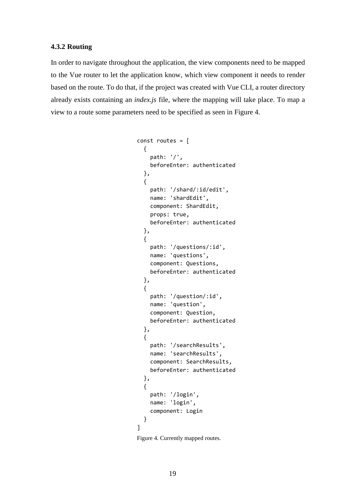#### <span id="page-18-0"></span>**4.3.2 Routing**

In order to navigate throughout the application, the view components need to be mapped to the Vue router to let the application know, which view component it needs to render based on the route. To do that, if the project was created with Vue CLI, a router directory already exists containing an *index.js* file, where the mapping will take place. To map a view to a route some parameters need to be specified as seen in Figure 4.

```
const routes = [
   {
     path: '/',
     beforeEnter: authenticated
   },
   {
     path: '/shard/:id/edit',
     name: 'shardEdit',
     component: ShardEdit,
     props: true,
     beforeEnter: authenticated
   },
   {
     path: '/questions/:id',
     name: 'questions',
     component: Questions,
     beforeEnter: authenticated
   },
   {
     path: '/question/:id',
     name: 'question',
     component: Question,
     beforeEnter: authenticated
   },
   {
     path: '/searchResults',
     name: 'searchResults',
     component: SearchResults,
     beforeEnter: authenticated
   },
   {
     path: '/login',
     name: 'login',
     component: Login
   }
]
```
<span id="page-18-1"></span>Figure 4. Currently mapped routes.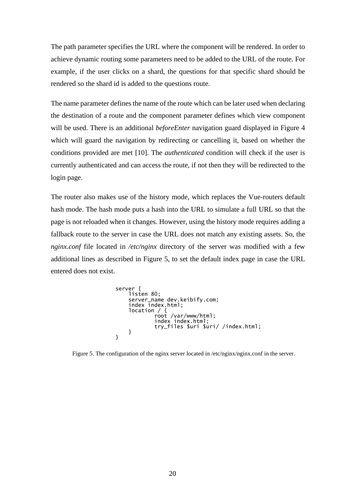The path parameter specifies the URL where the component will be rendered. In order to achieve dynamic routing some parameters need to be added to the URL of the route. For example, if the user clicks on a shard, the questions for that specific shard should be rendered so the shard id is added to the questions route.

The name parameter defines the name of the route which can be later used when declaring the destination of a route and the component parameter defines which view component will be used. There is an additional *beforeEnter* navigation guard displayed in Figure 4 which will guard the navigation by redirecting or cancelling it, based on whether the conditions provided are met [10]. The *authenticated* condition will check if the user is currently authenticated and can access the route, if not then they will be redirected to the login page.

The router also makes use of the history mode, which replaces the Vue-routers default hash mode. The hash mode puts a hash into the URL to simulate a full URL so that the page is not reloaded when it changes. However, using the history mode requires adding a fallback route to the server in case the URL does not match any existing assets. So, the *nginx.conf* file located in */etc/nginx* directory of the server was modified with a few additional lines as described in Figure 5, to set the default index page in case the URL entered does not exist.

server { listen 80; server\_name dev.keibify.com; index index.html; location / { root /var/www/html; index index.html; try\_files \$uri \$uri/ /index.html; } }

<span id="page-19-0"></span>Figure 5. The configuration of the nginx server located in /etc/nginx/nginx.conf in the server.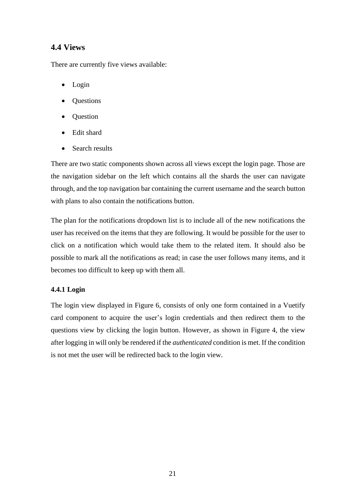### <span id="page-20-0"></span>**4.4 Views**

There are currently five views available:

- Login
- Questions
- Question
- Edit shard
- Search results

There are two static components shown across all views except the login page. Those are the navigation sidebar on the left which contains all the shards the user can navigate through, and the top navigation bar containing the current username and the search button with plans to also contain the notifications button.

The plan for the notifications dropdown list is to include all of the new notifications the user has received on the items that they are following. It would be possible for the user to click on a notification which would take them to the related item. It should also be possible to mark all the notifications as read; in case the user follows many items, and it becomes too difficult to keep up with them all.

### <span id="page-20-1"></span>**4.4.1 Login**

The login view displayed in Figure 6, consists of only one form contained in a Vuetify card component to acquire the user's login credentials and then redirect them to the questions view by clicking the login button. However, as shown in Figure 4, the view after logging in will only be rendered if the *authenticated* condition is met. If the condition is not met the user will be redirected back to the login view.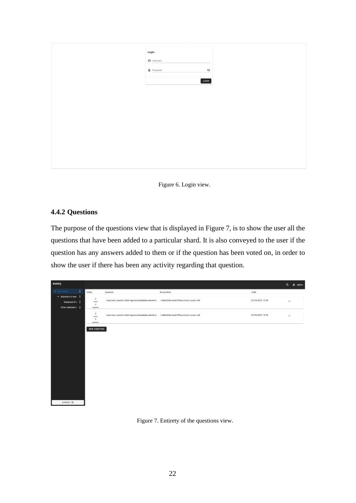| Login                            |  |
|----------------------------------|--|
| $\Theta$ Username                |  |
| $\mathbf{\hat{m}}$ Password<br>Ø |  |
| LOGIN                            |  |
|                                  |  |
|                                  |  |
|                                  |  |
|                                  |  |
|                                  |  |
|                                  |  |
|                                  |  |
|                                  |  |
|                                  |  |
|                                  |  |
|                                  |  |
|                                  |  |

Figure 6. Login view.

### <span id="page-21-1"></span><span id="page-21-0"></span>**4.4.2 Questions**

The purpose of the questions view that is displayed in Figure 7, is to show the user all the questions that have been added to a particular shard. It is also conveyed to the user if the question has any answers added to them or if the question has been voted on, in order to show the user if there has been any activity regarding that question.

<span id="page-21-2"></span>

Figure 7. Entirety of the questions view.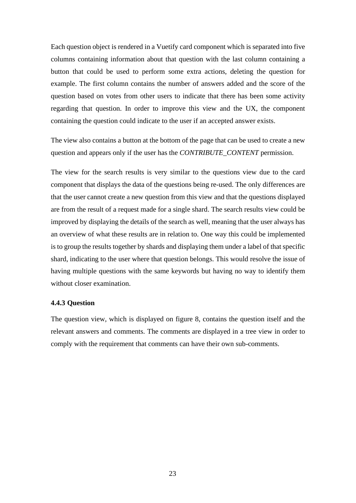Each question object is rendered in a Vuetify card component which is separated into five columns containing information about that question with the last column containing a button that could be used to perform some extra actions, deleting the question for example. The first column contains the number of answers added and the score of the question based on votes from other users to indicate that there has been some activity regarding that question. In order to improve this view and the UX, the component containing the question could indicate to the user if an accepted answer exists.

The view also contains a button at the bottom of the page that can be used to create a new question and appears only if the user has the *CONTRIBUTE\_CONTENT* permission.

The view for the search results is very similar to the questions view due to the card component that displays the data of the questions being re-used. The only differences are that the user cannot create a new question from this view and that the questions displayed are from the result of a request made for a single shard. The search results view could be improved by displaying the details of the search as well, meaning that the user always has an overview of what these results are in relation to. One way this could be implemented is to group the results together by shards and displaying them under a label of that specific shard, indicating to the user where that question belongs. This would resolve the issue of having multiple questions with the same keywords but having no way to identify them without closer examination.

#### <span id="page-22-0"></span>**4.4.3 Question**

The question view, which is displayed on figure 8, contains the question itself and the relevant answers and comments. The comments are displayed in a tree view in order to comply with the requirement that comments can have their own sub-comments.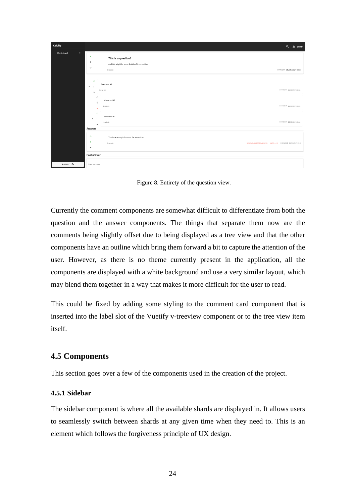| Keibify              | Q & admin                                                                                                                                                        |
|----------------------|------------------------------------------------------------------------------------------------------------------------------------------------------------------|
| Ŧ.<br>Root shard     | $\hat{\phantom{a}}$<br>This is a question?<br>л<br>And this might be some details of the question.<br>$\check{ }$<br>By: admin<br>соммент 25/05/2021 03:35       |
|                      | $\hat{\phantom{a}}$<br>Comment #1<br>$-1$<br>COMMENT 25/05/2021 03:35<br>By: admin<br>$\checkmark$<br>$\hat{\phantom{a}}$                                        |
|                      | Comment#2<br>$-1$<br>COMMENT 25/05/2021 03:35<br>By: admin<br>$\checkmark$<br>$\hat{\phantom{a}}$<br>Comment #3                                                  |
|                      | $\overline{1}$<br>$\,$<br>COMMENT 25/05/2021 03:36<br>By: admin<br>$\checkmark$<br><b>Answers</b>                                                                |
|                      | $\hat{\phantom{a}}$<br>This is an accepted answer for a question.<br>-1<br>REMOVE ACCEPTED ANSWER UNFOLLOW COMMENT 25/05/2021 03:35<br>By: admin<br>$\checkmark$ |
|                      | Post answer                                                                                                                                                      |
| LOGOUT <sup>E+</sup> | Your answer                                                                                                                                                      |

Figure 8. Entirety of the question view.

<span id="page-23-2"></span>Currently the comment components are somewhat difficult to differentiate from both the question and the answer components. The things that separate them now are the comments being slightly offset due to being displayed as a tree view and that the other components have an outline which bring them forward a bit to capture the attention of the user. However, as there is no theme currently present in the application, all the components are displayed with a white background and use a very similar layout, which may blend them together in a way that makes it more difficult for the user to read.

This could be fixed by adding some styling to the comment card component that is inserted into the label slot of the Vuetify v-treeview component or to the tree view item itself.

### <span id="page-23-0"></span>**4.5 Components**

This section goes over a few of the components used in the creation of the project.

#### <span id="page-23-1"></span>**4.5.1 Sidebar**

The sidebar component is where all the available shards are displayed in. It allows users to seamlessly switch between shards at any given time when they need to. This is an element which follows the forgiveness principle of UX design.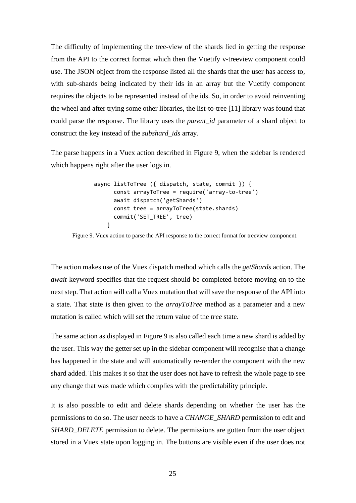The difficulty of implementing the tree-view of the shards lied in getting the response from the API to the correct format which then the Vuetify v-treeview component could use. The JSON object from the response listed all the shards that the user has access to, with sub-shards being indicated by their ids in an array but the Vuetify component requires the objects to be represented instead of the ids. So, in order to avoid reinventing the wheel and after trying some other libraries, the list-to-tree [11] library was found that could parse the response. The library uses the *parent\_id* parameter of a shard object to construct the key instead of the *subshard\_ids* array.

The parse happens in a Vuex action described in Figure 9, when the sidebar is rendered which happens right after the user logs in.

```
async listToTree ({ dispatch, state, commit }) {
       const arrayToTree = require('array-to-tree')
       await dispatch('getShards')
       const tree = arrayToTree(state.shards)
       commit('SET_TREE', tree)
     }
```
<span id="page-24-0"></span>Figure 9. Vuex action to parse the API response to the correct format for treeview component.

The action makes use of the Vuex dispatch method which calls the *getShards* action. The *await* keyword specifies that the request should be completed before moving on to the next step. That action will call a Vuex mutation that will save the response of the API into a state. That state is then given to the *arrayToTree* method as a parameter and a new mutation is called which will set the return value of the *tree* state.

The same action as displayed in Figure 9 is also called each time a new shard is added by the user. This way the getter set up in the sidebar component will recognise that a change has happened in the state and will automatically re-render the component with the new shard added. This makes it so that the user does not have to refresh the whole page to see any change that was made which complies with the predictability principle.

It is also possible to edit and delete shards depending on whether the user has the permissions to do so. The user needs to have a *CHANGE\_SHARD* permission to edit and *SHARD\_DELETE* permission to delete. The permissions are gotten from the user object stored in a Vuex state upon logging in. The buttons are visible even if the user does not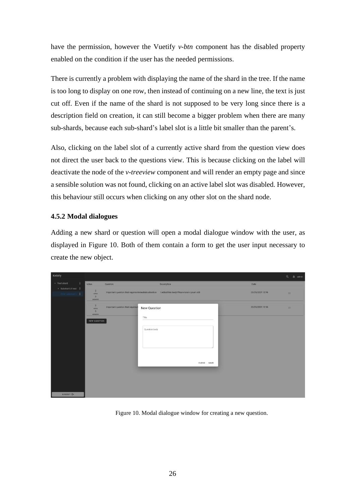have the permission, however the Vuetify *v-btn* component has the disabled property enabled on the condition if the user has the needed permissions.

There is currently a problem with displaying the name of the shard in the tree. If the name is too long to display on one row, then instead of continuing on a new line, the text is just cut off. Even if the name of the shard is not supposed to be very long since there is a description field on creation, it can still become a bigger problem when there are many sub-shards, because each sub-shard's label slot is a little bit smaller than the parent's.

Also, clicking on the label slot of a currently active shard from the question view does not direct the user back to the questions view. This is because clicking on the label will deactivate the node of the *v-treeview* component and will render an empty page and since a sensible solution was not found, clicking on an active label slot was disabled. However, this behaviour still occurs when clicking on any other slot on the shard node.

### <span id="page-25-0"></span>**4.5.2 Modal dialogues**

Adding a new shard or question will open a modal dialogue window with the user, as displayed in Figure 10. Both of them contain a form to get the user input necessary to create the new object.

| Keibify                                  |                                                               |                                  |                                                                                                                       | Q        | $\hat{m}$ admin |
|------------------------------------------|---------------------------------------------------------------|----------------------------------|-----------------------------------------------------------------------------------------------------------------------|----------|-----------------|
| ÷<br>Root shard                          | Votes                                                         | Question                         | Description<br>Date                                                                                                   |          |                 |
| > Subshard of root :<br>Other subshard c | $\overline{2}$<br>votes<br>3<br>answers                       |                                  | Important question that requires immediate attention I edited this body! Pleare lorem ipsum still<br>23/05/2021 12:16 | $\equiv$ |                 |
|                                          | $\overline{2}$<br>votes<br>$\overline{\mathbf{3}}$<br>answers | Important question that requires | 23/05/2021 12:16<br>New Question                                                                                      | $\equiv$ |                 |
| LOGOUT E+                                | NEW QUESTION                                                  |                                  | Title<br>Question body<br>CLOSE SAVE                                                                                  |          |                 |

<span id="page-25-1"></span>Figure 10. Modal dialogue window for creating a new question.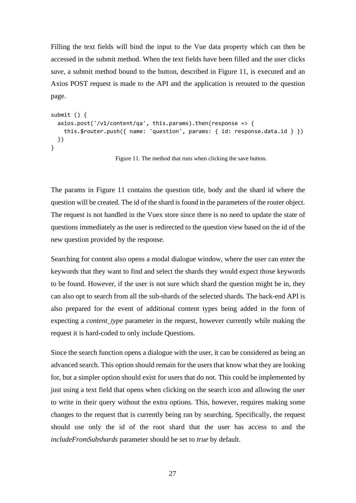Filling the text fields will bind the input to the Vue data property which can then be accessed in the submit method. When the text fields have been filled and the user clicks *save*, a submit method bound to the button, described in Figure 11, is executed and an Axios POST request is made to the API and the application is rerouted to the question page.

```
submit () {
 axis.post('v1/content/qa', this.params).then (response -> \{ this.$router.push({ name: 'question', params: { id: response.data.id } })
  })
}
```
Figure 11. The method that runs when clicking the save button.

<span id="page-26-0"></span>The params in Figure 11 contains the question title, body and the shard id where the question will be created. The id of the shard is found in the parameters of the router object. The request is not handled in the Vuex store since there is no need to update the state of questions immediately as the user is redirected to the question view based on the id of the new question provided by the response.

Searching for content also opens a modal dialogue window, where the user can enter the keywords that they want to find and select the shards they would expect those keywords to be found. However, if the user is not sure which shard the question might be in, they can also opt to search from all the sub-shards of the selected shards. The back-end API is also prepared for the event of additional content types being added in the form of expecting a *content\_type* parameter in the request, however currently while making the request it is hard-coded to only include Questions.

Since the search function opens a dialogue with the user, it can be considered as being an advanced search. This option should remain for the users that know what they are looking for, but a simpler option should exist for users that do not. This could be implemented by just using a text field that opens when clicking on the search icon and allowing the user to write in their query without the extra options. This, however, requires making some changes to the request that is currently being ran by searching. Specifically, the request should use only the id of the root shard that the user has access to and the *includeFromSubshards* parameter should be set to *true* by default.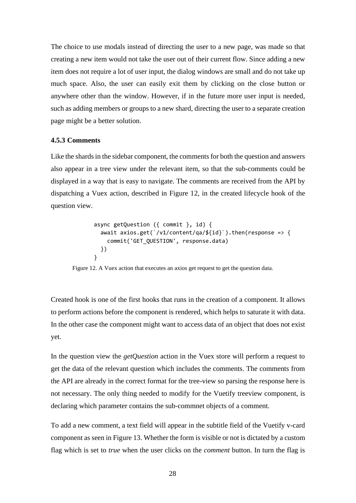The choice to use modals instead of directing the user to a new page, was made so that creating a new item would not take the user out of their current flow. Since adding a new item does not require a lot of user input, the dialog windows are small and do not take up much space. Also, the user can easily exit them by clicking on the close button or anywhere other than the window. However, if in the future more user input is needed, such as adding members or groups to a new shard, directing the user to a separate creation page might be a better solution.

#### <span id="page-27-0"></span>**4.5.3 Comments**

Like the shards in the sidebar component, the comments for both the question and answers also appear in a tree view under the relevant item, so that the sub-comments could be displayed in a way that is easy to navigate. The comments are received from the API by dispatching a Vuex action, described in Figure 12, in the created lifecycle hook of the question view.

```
async getQuestion ({ commit }, id) {
  await axios.get(`/v1/content/qa/${id}`).then(response => {
    commit('GET QUESTION', response.data)
  })
}
```
<span id="page-27-1"></span>Figure 12. A Vuex action that executes an axios get request to get the question data.

Created hook is one of the first hooks that runs in the creation of a component. It allows to perform actions before the component is rendered, which helps to saturate it with data. In the other case the component might want to access data of an object that does not exist yet.

In the question view the *getQuestion* action in the Vuex store will perform a request to get the data of the relevant question which includes the comments. The comments from the API are already in the correct format for the tree-view so parsing the response here is not necessary. The only thing needed to modify for the Vuetify treeview component, is declaring which parameter contains the sub-commnet objects of a comment.

To add a new comment, a text field will appear in the subtitle field of the Vuetify v-card component as seen in Figure 13. Whether the form is visible or not is dictated by a custom flag which is set to *true* when the user clicks on the *comment* button. In turn the flag is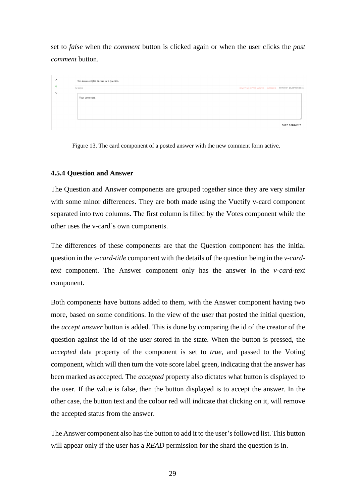set to *false* when the *comment* button is clicked again or when the user clicks the *post comment* button.

| $\hat{\phantom{a}}$ | This is an accepted answer for a question. |                                 |  |                          |
|---------------------|--------------------------------------------|---------------------------------|--|--------------------------|
| $\checkmark$        | By: admin                                  | REMOVE ACCEPTED ANSWER UNFOLLOW |  | COMMENT 25/05/2021 03:35 |
|                     | Your comment                               |                                 |  |                          |
|                     |                                            |                                 |  |                          |
|                     |                                            |                                 |  |                          |
|                     |                                            |                                 |  | POST COMMENT             |

<span id="page-28-1"></span>Figure 13. The card component of a posted answer with the new comment form active.

### <span id="page-28-0"></span>**4.5.4 Question and Answer**

The Question and Answer components are grouped together since they are very similar with some minor differences. They are both made using the Vuetify v-card component separated into two columns. The first column is filled by the Votes component while the other uses the v-card's own components.

The differences of these components are that the Question component has the initial question in the *v-card-title* component with the details of the question being in the *v-cardtext* component. The Answer component only has the answer in the *v-card-text* component.

Both components have buttons added to them, with the Answer component having two more, based on some conditions. In the view of the user that posted the initial question, the *accept answer* button is added. This is done by comparing the id of the creator of the question against the id of the user stored in the state. When the button is pressed, the *accepted* data property of the component is set to *true*, and passed to the Voting component, which will then turn the vote score label green, indicating that the answer has been marked as accepted. The *accepted* property also dictates what button is displayed to the user. If the value is false, then the button displayed is to accept the answer. In the other case, the button text and the colour red will indicate that clicking on it, will remove the accepted status from the answer.

The Answer component also has the button to add it to the user's followed list. This button will appear only if the user has a *READ* permission for the shard the question is in.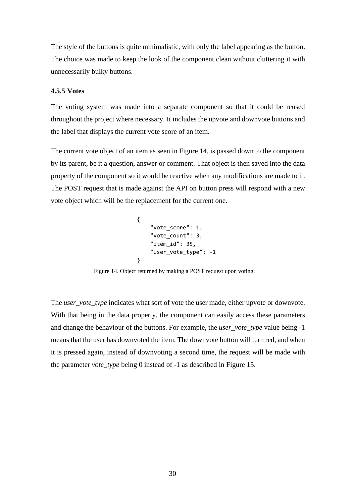The style of the buttons is quite minimalistic, with only the label appearing as the button. The choice was made to keep the look of the component clean without cluttering it with unnecessarily bulky buttons.

#### <span id="page-29-0"></span>**4.5.5 Votes**

The voting system was made into a separate component so that it could be reused throughout the project where necessary. It includes the upvote and downvote buttons and the label that displays the current vote score of an item.

The current vote object of an item as seen in Figure 14, is passed down to the component by its parent, be it a question, answer or comment. That object is then saved into the data property of the component so it would be reactive when any modifications are made to it. The POST request that is made against the API on button press will respond with a new vote object which will be the replacement for the current one.

```
{
     "vote_score": 1,
     "vote_count": 3,
     "item_id": 35,
    "user_vote_type": -1
}
```
Figure 14. Object returned by making a POST request upon voting.

<span id="page-29-1"></span>The *user\_vote\_type* indicates what sort of vote the user made, either upvote or downvote. With that being in the data property, the component can easily access these parameters and change the behaviour of the buttons. For example, the *user\_vote\_type* value being -1 means that the user has downvoted the item. The downvote button will turn red, and when it is pressed again, instead of downvoting a second time, the request will be made with the parameter *vote\_type* being 0 instead of -1 as described in Figure 15.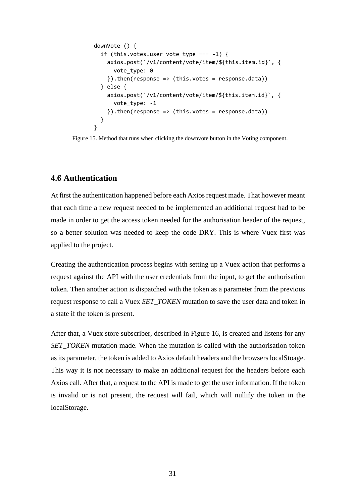```
downVote () {
   if (this.votes.user_vote_type === -1) {
     axios.post(`/v1/content/vote/item/${this.item.id}`, {
      vote type: 0
    }).then(response => (this.votes = response.data))
  } else {
     axios.post(`/v1/content/vote/item/${this.item.id}`, {
      vote type: -1
    }).then(response => (this.votes = response.data))
  }
}
```
<span id="page-30-1"></span>Figure 15. Method that runs when clicking the downvote button in the Voting component.

### <span id="page-30-0"></span>**4.6 Authentication**

At first the authentication happened before each Axios request made. That however meant that each time a new request needed to be implemented an additional request had to be made in order to get the access token needed for the authorisation header of the request, so a better solution was needed to keep the code DRY. This is where Vuex first was applied to the project.

Creating the authentication process begins with setting up a Vuex action that performs a request against the API with the user credentials from the input, to get the authorisation token. Then another action is dispatched with the token as a parameter from the previous request response to call a Vuex *SET\_TOKEN* mutation to save the user data and token in a state if the token is present.

After that, a Vuex store subscriber, described in Figure 16, is created and listens for any *SET\_TOKEN* mutation made. When the mutation is called with the authorisation token as its parameter, the token is added to Axios default headers and the browsers localStoage. This way it is not necessary to make an additional request for the headers before each Axios call. After that, a request to the API is made to get the user information. If the token is invalid or is not present, the request will fail, which will nullify the token in the localStorage.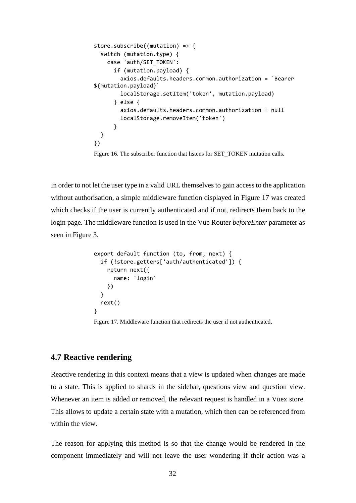```
store.subscribe((mutation) => {
   switch (mutation.type) {
     case 'auth/SET_TOKEN':
       if (mutation.payload) {
         axios.defaults.headers.common.authorization = `Bearer 
${mutation.payload}`
         localStorage.setItem('token', mutation.payload)
       } else {
         axios.defaults.headers.common.authorization = null
         localStorage.removeItem('token')
       }
   }
})
```
Figure 16. The subscriber function that listens for SET\_TOKEN mutation calls.

<span id="page-31-1"></span>In order to not let the user type in a valid URL themselves to gain access to the application without authorisation, a simple middleware function displayed in Figure 17 was created which checks if the user is currently authenticated and if not, redirects them back to the login page. The middleware function is used in the Vue Router *beforeEnter* parameter as seen in Figure 3.

```
export default function (to, from, next) {
   if (!store.getters['auth/authenticated']) {
     return next({
       name: 'login'
     })
   }
   next()
}
```
Figure 17. Middleware function that redirects the user if not authenticated.

#### <span id="page-31-2"></span><span id="page-31-0"></span>**4.7 Reactive rendering**

Reactive rendering in this context means that a view is updated when changes are made to a state. This is applied to shards in the sidebar, questions view and question view. Whenever an item is added or removed, the relevant request is handled in a Vuex store. This allows to update a certain state with a mutation, which then can be referenced from within the view.

The reason for applying this method is so that the change would be rendered in the component immediately and will not leave the user wondering if their action was a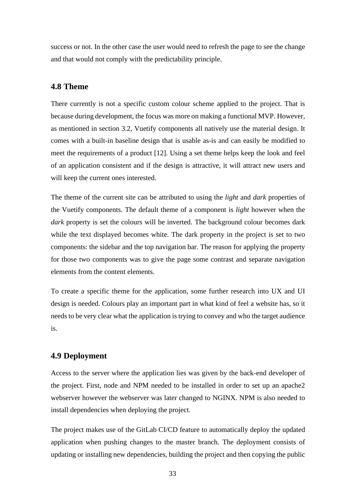success or not. In the other case the user would need to refresh the page to see the change and that would not comply with the predictability principle.

### <span id="page-32-0"></span>**4.8 Theme**

There currently is not a specific custom colour scheme applied to the project. That is because during development, the focus was more on making a functional MVP. However, as mentioned in section 3.2, Vuetify components all natively use the material design. It comes with a built-in baseline design that is usable as-is and can easily be modified to meet the requirements of a product [12]. Using a set theme helps keep the look and feel of an application consistent and if the design is attractive, it will attract new users and will keep the current ones interested.

The theme of the current site can be attributed to using the *light* and *dark* properties of the Vuetify components. The default theme of a component is *light* however when the *dark* property is set the colours will be inverted. The background colour becomes dark while the text displayed becomes white. The dark property in the project is set to two components: the sidebar and the top navigation bar. The reason for applying the property for those two components was to give the page some contrast and separate navigation elements from the content elements.

To create a specific theme for the application, some further research into UX and UI design is needed. Colours play an important part in what kind of feel a website has, so it needs to be very clear what the application is trying to convey and who the target audience is.

### <span id="page-32-1"></span>**4.9 Deployment**

Access to the server where the application lies was given by the back-end developer of the project. First, node and NPM needed to be installed in order to set up an apache2 webserver however the webserver was later changed to NGINX. NPM is also needed to install dependencies when deploying the project.

The project makes use of the GitLab CI/CD feature to automatically deploy the updated application when pushing changes to the master branch. The deployment consists of updating or installing new dependencies, building the project and then copying the public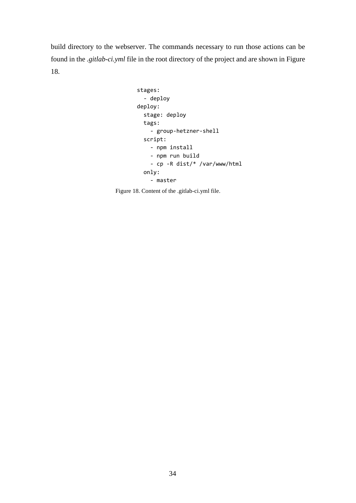build directory to the webserver. The commands necessary to run those actions can be found in the *.gitlab-ci.yml* file in the root directory of the project and are shown in Figure 18.

```
stages:
   - deploy
deploy:
   stage: deploy
  tags:
     - group-hetzner-shell
  script:
     - npm install
     - npm run build
     - cp -R dist/* /var/www/html
   only:
     - master
```
<span id="page-33-0"></span>Figure 18. Content of the .gitlab-ci.yml file.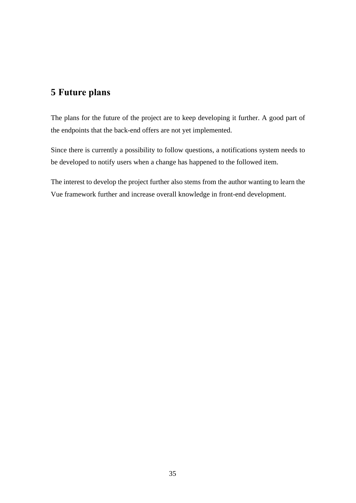## <span id="page-34-0"></span>**5 Future plans**

The plans for the future of the project are to keep developing it further. A good part of the endpoints that the back-end offers are not yet implemented.

Since there is currently a possibility to follow questions, a notifications system needs to be developed to notify users when a change has happened to the followed item.

The interest to develop the project further also stems from the author wanting to learn the Vue framework further and increase overall knowledge in front-end development.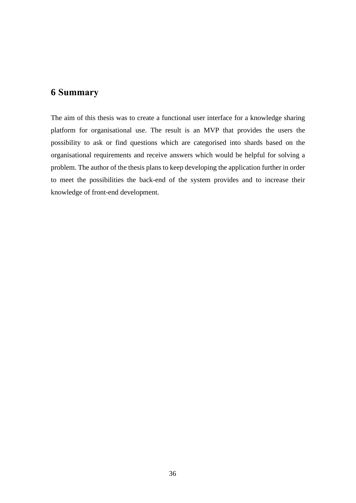### <span id="page-35-0"></span>**6 Summary**

The aim of this thesis was to create a functional user interface for a knowledge sharing platform for organisational use. The result is an MVP that provides the users the possibility to ask or find questions which are categorised into shards based on the organisational requirements and receive answers which would be helpful for solving a problem. The author of the thesis plans to keep developing the application further in order to meet the possibilities the back-end of the system provides and to increase their knowledge of front-end development.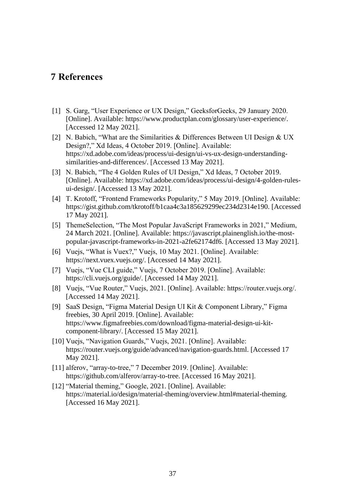### <span id="page-36-0"></span>**7 References**

- [1] S. Garg, "User Experience or UX Design," GeeksforGeeks, 29 January 2020. [Online]. Available: https://www.productplan.com/glossary/user-experience/. [Accessed 12 May 2021].
- [2] N. Babich, "What are the Similarities & Differences Between UI Design & UX Design?," Xd Ideas, 4 October 2019. [Online]. Available: https://xd.adobe.com/ideas/process/ui-design/ui-vs-ux-design-understandingsimilarities-and-differences/. [Accessed 13 May 2021].
- [3] N. Babich, "The 4 Golden Rules of UI Design," Xd Ideas, 7 October 2019. [Online]. Available: https://xd.adobe.com/ideas/process/ui-design/4-golden-rulesui-design/. [Accessed 13 May 2021].
- [4] T. Krotoff, "Frontend Frameworks Popularity," 5 May 2019. [Online]. Available: https://gist.github.com/tkrotoff/b1caa4c3a185629299ec234d2314e190. [Accessed 17 May 2021].
- [5] ThemeSelection, "The Most Popular JavaScript Frameworks in 2021," Medium, 24 March 2021. [Online]. Available: https://javascript.plainenglish.io/the-mostpopular-javascript-frameworks-in-2021-a2fe62174df6. [Accessed 13 May 2021].
- [6] Vuejs, "What is Vuex?," Vuejs, 10 May 2021. [Online]. Available: https://next.vuex.vuejs.org/. [Accessed 14 May 2021].
- [7] Vuejs, "Vue CLI guide," Vuejs, 7 October 2019. [Online]. Available: https://cli.vuejs.org/guide/. [Accessed 14 May 2021].
- [8] Vuejs, "Vue Router," Vuejs, 2021. [Online]. Available: https://router.vuejs.org/. [Accessed 14 May 2021].
- [9] SaaS Design, "Figma Material Design UI Kit & Component Library," Figma freebies, 30 April 2019. [Online]. Available: https://www.figmafreebies.com/download/figma-material-design-ui-kitcomponent-library/. [Accessed 15 May 2021].
- [10] Vuejs, "Navigation Guards," Vuejs, 2021. [Online]. Available: https://router.vuejs.org/guide/advanced/navigation-guards.html. [Accessed 17 May 2021].
- [11] alferov, "array-to-tree," 7 December 2019. [Online]. Available: https://github.com/alferov/array-to-tree. [Accessed 16 May 2021].
- [12] "Material theming," Google, 2021. [Online]. Available: https://material.io/design/material-theming/overview.html#material-theming. [Accessed 16 May 2021].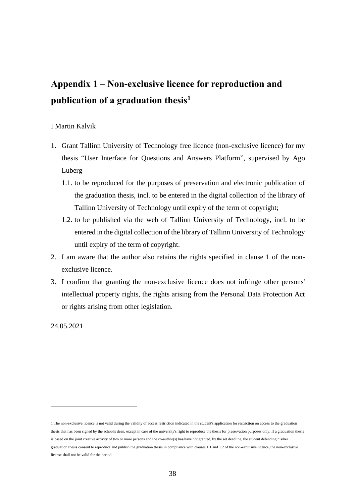# <span id="page-37-0"></span>**Appendix 1 – Non-exclusive licence for reproduction and publication of a graduation thesis<sup>1</sup>**

#### I Martin Kalvik

- 1. Grant Tallinn University of Technology free licence (non-exclusive licence) for my thesis "User Interface for Questions and Answers Platform", supervised by Ago Luberg
	- 1.1. to be reproduced for the purposes of preservation and electronic publication of the graduation thesis, incl. to be entered in the digital collection of the library of Tallinn University of Technology until expiry of the term of copyright;
	- 1.2. to be published via the web of Tallinn University of Technology, incl. to be entered in the digital collection of the library of Tallinn University of Technology until expiry of the term of copyright.
- 2. I am aware that the author also retains the rights specified in clause 1 of the nonexclusive licence.
- 3. I confirm that granting the non-exclusive licence does not infringe other persons' intellectual property rights, the rights arising from the Personal Data Protection Act or rights arising from other legislation.

24.05.2021

<sup>1</sup> The non-exclusive licence is not valid during the validity of access restriction indicated in the student's application for restriction on access to the graduation thesis that has been signed by the school's dean, except in case of the university's right to reproduce the thesis for preservation purposes only. If a graduation thesis is based on the joint creative activity of two or more persons and the co-author(s) has/have not granted, by the set deadline, the student defending his/her graduation thesis consent to reproduce and publish the graduation thesis in compliance with clauses 1.1 and 1.2 of the non-exclusive licence, the non-exclusive license shall not be valid for the period.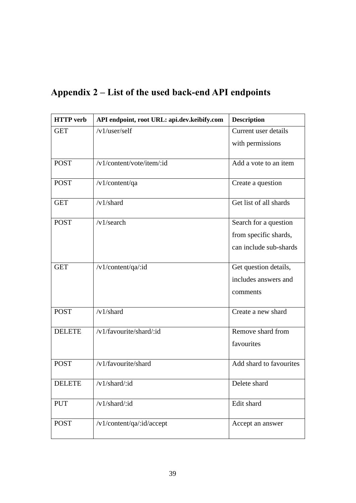<span id="page-38-0"></span>

|  |  | Appendix 2 – List of the used back-end API endpoints |  |  |
|--|--|------------------------------------------------------|--|--|
|--|--|------------------------------------------------------|--|--|

| <b>HTTP</b> verb | API endpoint, root URL: api.dev.keibify.com | <b>Description</b>      |
|------------------|---------------------------------------------|-------------------------|
| <b>GET</b>       | /v1/user/self                               | Current user details    |
|                  |                                             | with permissions        |
| <b>POST</b>      | /v1/content/vote/item/:id                   | Add a vote to an item   |
| <b>POST</b>      | /v1/content/qa                              | Create a question       |
| <b>GET</b>       | $/v1$ /shard                                | Get list of all shards  |
| <b>POST</b>      | $/v1$ /search                               | Search for a question   |
|                  |                                             | from specific shards,   |
|                  |                                             | can include sub-shards  |
| <b>GET</b>       | /v1/content/qa/:id                          | Get question details,   |
|                  |                                             | includes answers and    |
|                  |                                             | comments                |
| <b>POST</b>      | /v1/shard                                   | Create a new shard      |
| <b>DELETE</b>    | /v1/favourite/shard/:id                     | Remove shard from       |
|                  |                                             | favourites              |
| <b>POST</b>      | /v1/favourite/shard                         | Add shard to favourites |
| <b>DELETE</b>    | /v1/shard/:id                               | Delete shard            |
| <b>PUT</b>       | /v1/shard/:id                               | Edit shard              |
| <b>POST</b>      | /v1/content/qa/:id/accept                   | Accept an answer        |